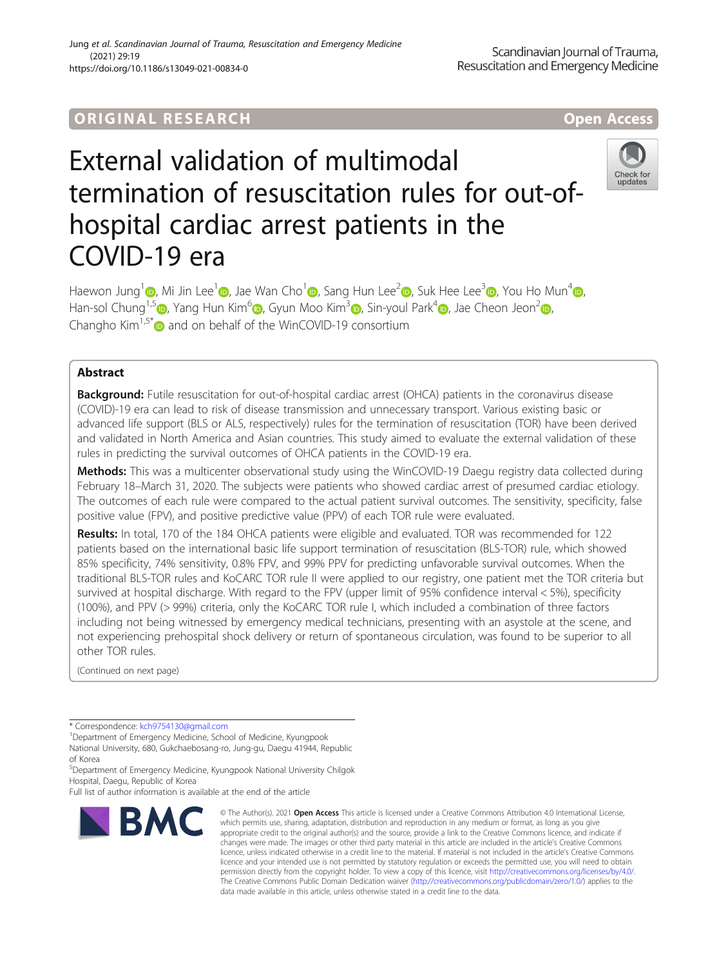# ORIGINA L R E S EA RCH Open Access

# External validation of multimodal termination of resuscitation rules for out-ofhospital cardiac arrest patients in the COVID-19 era



Haewon Jung<sup>1</sup> [,](https://orcid.org/0000-0003-4303-7375) Mi Jin Lee<sup>[1](https://orcid.org/0000-0002-5342-155X)</sup> , Jae Wan Cho<sup>1</sup> , Sang Hun Lee<sup>2</sup> , Suk Hee Lee<sup>3</sup> , You Ho Mun<sup>4</sup> , Han-sol Chung<sup>1[,](https://orcid.org/0000-0002-5560-4069)5</sup> , Yang Hun Kim<sup>[6](https://orcid.org/0000-0002-9581-4562)</sup> , Gyun Moo Kim<sup>3</sup> , Sin-youl Park<sup>[4](https://orcid.org/0000-0003-4005-1956)</sup> , Jae Cheon Jeon<sup>[2](https://orcid.org/0000-0003-3746-3650)</sup> , Changho Kim<sup>1,5\*</sup> $\bullet$  and on behalf of the WinCOVID-19 consortium

# Abstract

**Background:** Futile resuscitation for out-of-hospital cardiac arrest (OHCA) patients in the coronavirus disease (COVID)-19 era can lead to risk of disease transmission and unnecessary transport. Various existing basic or advanced life support (BLS or ALS, respectively) rules for the termination of resuscitation (TOR) have been derived and validated in North America and Asian countries. This study aimed to evaluate the external validation of these rules in predicting the survival outcomes of OHCA patients in the COVID-19 era.

Methods: This was a multicenter observational study using the WinCOVID-19 Daegu registry data collected during February 18–March 31, 2020. The subjects were patients who showed cardiac arrest of presumed cardiac etiology. The outcomes of each rule were compared to the actual patient survival outcomes. The sensitivity, specificity, false positive value (FPV), and positive predictive value (PPV) of each TOR rule were evaluated.

Results: In total, 170 of the 184 OHCA patients were eligible and evaluated. TOR was recommended for 122 patients based on the international basic life support termination of resuscitation (BLS-TOR) rule, which showed 85% specificity, 74% sensitivity, 0.8% FPV, and 99% PPV for predicting unfavorable survival outcomes. When the traditional BLS-TOR rules and KoCARC TOR rule II were applied to our registry, one patient met the TOR criteria but survived at hospital discharge. With regard to the FPV (upper limit of 95% confidence interval < 5%), specificity (100%), and PPV (> 99%) criteria, only the KoCARC TOR rule I, which included a combination of three factors including not being witnessed by emergency medical technicians, presenting with an asystole at the scene, and not experiencing prehospital shock delivery or return of spontaneous circulation, was found to be superior to all other TOR rules.

(Continued on next page)

<sup>1</sup> Department of Emergency Medicine, School of Medicine, Kyungpook National University, 680, Gukchaebosang-ro, Jung-gu, Daegu 41944, Republic of Korea

5 Department of Emergency Medicine, Kyungpook National University Chilgok Hospital, Daegu, Republic of Korea

Full list of author information is available at the end of the article



<sup>©</sup> The Author(s), 2021 **Open Access** This article is licensed under a Creative Commons Attribution 4.0 International License, which permits use, sharing, adaptation, distribution and reproduction in any medium or format, as long as you give appropriate credit to the original author(s) and the source, provide a link to the Creative Commons licence, and indicate if changes were made. The images or other third party material in this article are included in the article's Creative Commons licence, unless indicated otherwise in a credit line to the material. If material is not included in the article's Creative Commons licence and your intended use is not permitted by statutory regulation or exceeds the permitted use, you will need to obtain permission directly from the copyright holder. To view a copy of this licence, visit [http://creativecommons.org/licenses/by/4.0/.](http://creativecommons.org/licenses/by/4.0/) The Creative Commons Public Domain Dedication waiver [\(http://creativecommons.org/publicdomain/zero/1.0/](http://creativecommons.org/publicdomain/zero/1.0/)) applies to the data made available in this article, unless otherwise stated in a credit line to the data.

<sup>\*</sup> Correspondence: [kch9754130@gmail.com](mailto:kch9754130@gmail.com) <sup>1</sup>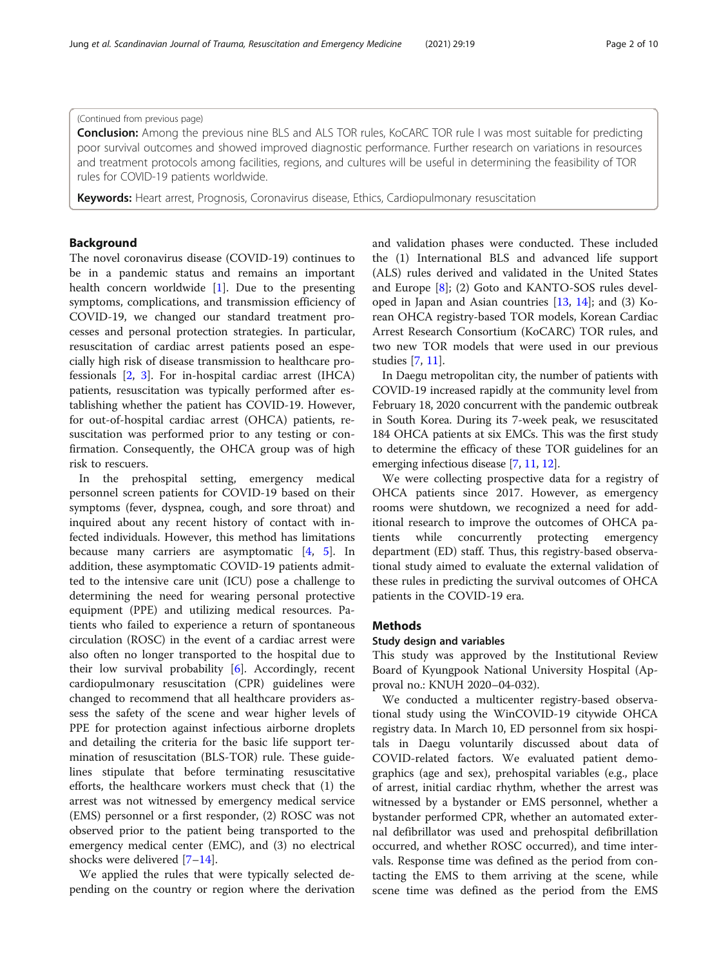# (Continued from previous page)

**Conclusion:** Among the previous nine BLS and ALS TOR rules, KoCARC TOR rule I was most suitable for predicting poor survival outcomes and showed improved diagnostic performance. Further research on variations in resources and treatment protocols among facilities, regions, and cultures will be useful in determining the feasibility of TOR rules for COVID-19 patients worldwide.

Keywords: Heart arrest, Prognosis, Coronavirus disease, Ethics, Cardiopulmonary resuscitation

# Background

The novel coronavirus disease (COVID-19) continues to be in a pandemic status and remains an important health concern worldwide [\[1\]](#page-8-0). Due to the presenting symptoms, complications, and transmission efficiency of COVID-19, we changed our standard treatment processes and personal protection strategies. In particular, resuscitation of cardiac arrest patients posed an especially high risk of disease transmission to healthcare professionals  $[2, 3]$  $[2, 3]$  $[2, 3]$  $[2, 3]$ . For in-hospital cardiac arrest (IHCA) patients, resuscitation was typically performed after establishing whether the patient has COVID-19. However, for out-of-hospital cardiac arrest (OHCA) patients, resuscitation was performed prior to any testing or confirmation. Consequently, the OHCA group was of high risk to rescuers.

In the prehospital setting, emergency medical personnel screen patients for COVID-19 based on their symptoms (fever, dyspnea, cough, and sore throat) and inquired about any recent history of contact with infected individuals. However, this method has limitations because many carriers are asymptomatic [\[4](#page-8-0), [5](#page-8-0)]. In addition, these asymptomatic COVID-19 patients admitted to the intensive care unit (ICU) pose a challenge to determining the need for wearing personal protective equipment (PPE) and utilizing medical resources. Patients who failed to experience a return of spontaneous circulation (ROSC) in the event of a cardiac arrest were also often no longer transported to the hospital due to their low survival probability [[6\]](#page-8-0). Accordingly, recent cardiopulmonary resuscitation (CPR) guidelines were changed to recommend that all healthcare providers assess the safety of the scene and wear higher levels of PPE for protection against infectious airborne droplets and detailing the criteria for the basic life support termination of resuscitation (BLS-TOR) rule. These guidelines stipulate that before terminating resuscitative efforts, the healthcare workers must check that (1) the arrest was not witnessed by emergency medical service (EMS) personnel or a first responder, (2) ROSC was not observed prior to the patient being transported to the emergency medical center (EMC), and (3) no electrical shocks were delivered [\[7](#page-9-0)–[14\]](#page-9-0).

We applied the rules that were typically selected depending on the country or region where the derivation and validation phases were conducted. These included the (1) International BLS and advanced life support (ALS) rules derived and validated in the United States and Europe [\[8](#page-9-0)]; (2) Goto and KANTO-SOS rules developed in Japan and Asian countries [[13,](#page-9-0) [14](#page-9-0)]; and (3) Korean OHCA registry-based TOR models, Korean Cardiac Arrest Research Consortium (KoCARC) TOR rules, and two new TOR models that were used in our previous studies [\[7,](#page-9-0) [11\]](#page-9-0).

In Daegu metropolitan city, the number of patients with COVID-19 increased rapidly at the community level from February 18, 2020 concurrent with the pandemic outbreak in South Korea. During its 7-week peak, we resuscitated 184 OHCA patients at six EMCs. This was the first study to determine the efficacy of these TOR guidelines for an emerging infectious disease [[7](#page-9-0), [11,](#page-9-0) [12](#page-9-0)].

We were collecting prospective data for a registry of OHCA patients since 2017. However, as emergency rooms were shutdown, we recognized a need for additional research to improve the outcomes of OHCA patients while concurrently protecting emergency department (ED) staff. Thus, this registry-based observational study aimed to evaluate the external validation of these rules in predicting the survival outcomes of OHCA patients in the COVID-19 era.

# **Methods**

#### Study design and variables

This study was approved by the Institutional Review Board of Kyungpook National University Hospital (Approval no.: KNUH 2020–04-032).

We conducted a multicenter registry-based observational study using the WinCOVID-19 citywide OHCA registry data. In March 10, ED personnel from six hospitals in Daegu voluntarily discussed about data of COVID-related factors. We evaluated patient demographics (age and sex), prehospital variables (e.g., place of arrest, initial cardiac rhythm, whether the arrest was witnessed by a bystander or EMS personnel, whether a bystander performed CPR, whether an automated external defibrillator was used and prehospital defibrillation occurred, and whether ROSC occurred), and time intervals. Response time was defined as the period from contacting the EMS to them arriving at the scene, while scene time was defined as the period from the EMS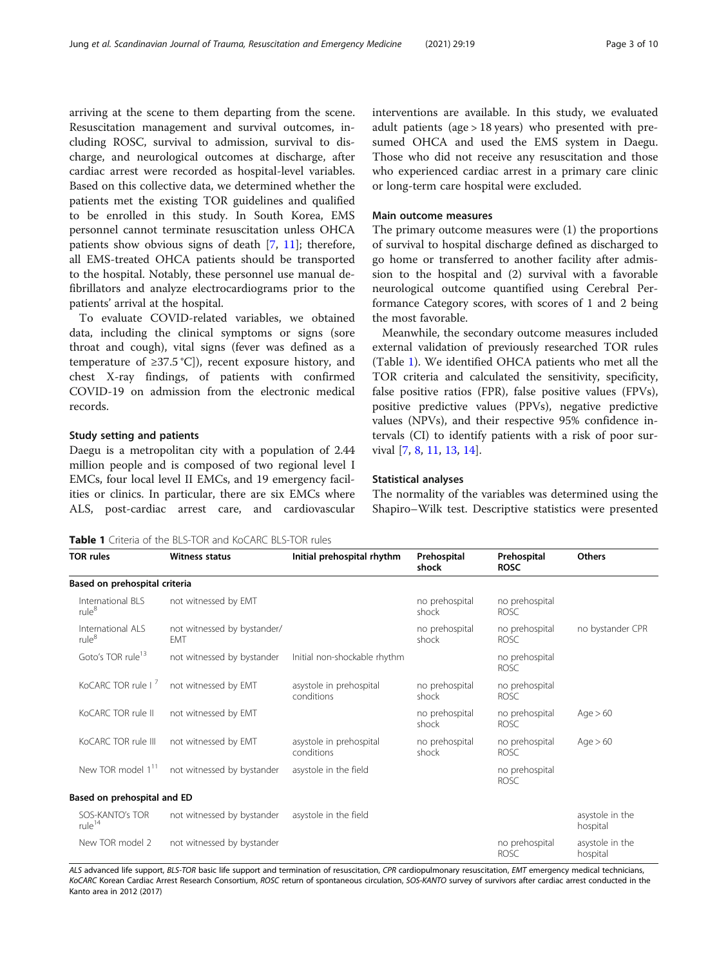<span id="page-2-0"></span>arriving at the scene to them departing from the scene. Resuscitation management and survival outcomes, including ROSC, survival to admission, survival to discharge, and neurological outcomes at discharge, after cardiac arrest were recorded as hospital-level variables. Based on this collective data, we determined whether the patients met the existing TOR guidelines and qualified to be enrolled in this study. In South Korea, EMS personnel cannot terminate resuscitation unless OHCA patients show obvious signs of death [[7,](#page-9-0) [11\]](#page-9-0); therefore, all EMS-treated OHCA patients should be transported to the hospital. Notably, these personnel use manual defibrillators and analyze electrocardiograms prior to the patients' arrival at the hospital.

To evaluate COVID-related variables, we obtained data, including the clinical symptoms or signs (sore throat and cough), vital signs (fever was defined as a temperature of  $\geq$ 37.5 °C]), recent exposure history, and chest X-ray findings, of patients with confirmed COVID-19 on admission from the electronic medical records.

# Study setting and patients

Daegu is a metropolitan city with a population of 2.44 million people and is composed of two regional level I EMCs, four local level II EMCs, and 19 emergency facilities or clinics. In particular, there are six EMCs where ALS, post-cardiac arrest care, and cardiovascular interventions are available. In this study, we evaluated adult patients (age > 18 years) who presented with presumed OHCA and used the EMS system in Daegu. Those who did not receive any resuscitation and those who experienced cardiac arrest in a primary care clinic or long-term care hospital were excluded.

### Main outcome measures

The primary outcome measures were (1) the proportions of survival to hospital discharge defined as discharged to go home or transferred to another facility after admission to the hospital and (2) survival with a favorable neurological outcome quantified using Cerebral Performance Category scores, with scores of 1 and 2 being the most favorable.

Meanwhile, the secondary outcome measures included external validation of previously researched TOR rules (Table 1). We identified OHCA patients who met all the TOR criteria and calculated the sensitivity, specificity, false positive ratios (FPR), false positive values (FPVs), positive predictive values (PPVs), negative predictive values (NPVs), and their respective 95% confidence intervals (CI) to identify patients with a risk of poor survival [\[7](#page-9-0), [8](#page-9-0), [11](#page-9-0), [13](#page-9-0), [14\]](#page-9-0).

#### Statistical analyses

The normality of the variables was determined using the Shapiro–Wilk test. Descriptive statistics were presented

Table 1 Criteria of the BLS-TOR and KoCARC BLS-TOR rules

| <b>TOR rules</b>                       | <b>Witness status</b>                     | Initial prehospital rhythm            | Prehospital<br>shock    | Prehospital<br><b>ROSC</b>    | Others                      |
|----------------------------------------|-------------------------------------------|---------------------------------------|-------------------------|-------------------------------|-----------------------------|
| Based on prehospital criteria          |                                           |                                       |                         |                               |                             |
| International BLS<br>rule <sup>8</sup> | not witnessed by EMT                      |                                       | no prehospital<br>shock | no prehospital<br>ROSC.       |                             |
| International ALS<br>rule <sup>8</sup> | not witnessed by bystander/<br><b>EMT</b> |                                       | no prehospital<br>shock | no prehospital<br><b>ROSC</b> | no bystander CPR            |
| Goto's TOR rule <sup>13</sup>          | not witnessed by bystander                | Initial non-shockable rhythm          |                         | no prehospital<br>ROSC.       |                             |
| KoCARC TOR rule I                      | not witnessed by EMT                      | asystole in prehospital<br>conditions | no prehospital<br>shock | no prehospital<br><b>ROSC</b> |                             |
| KoCARC TOR rule II                     | not witnessed by EMT                      |                                       | no prehospital<br>shock | no prehospital<br>ROSC.       | Age > 60                    |
| KoCARC TOR rule III                    | not witnessed by EMT                      | asystole in prehospital<br>conditions | no prehospital<br>shock | no prehospital<br><b>ROSC</b> | Age > 60                    |
| New TOR model 1 <sup>11</sup>          | not witnessed by bystander                | asystole in the field                 |                         | no prehospital<br><b>ROSC</b> |                             |
| Based on prehospital and ED            |                                           |                                       |                         |                               |                             |
| SOS-KANTO's TOR<br>rule <sup>14</sup>  | not witnessed by bystander                | asystole in the field                 |                         |                               | asystole in the<br>hospital |
| New TOR model 2                        | not witnessed by bystander                |                                       |                         | no prehospital<br><b>ROSC</b> | asystole in the<br>hospital |

ALS advanced life support, BLS-TOR basic life support and termination of resuscitation, CPR cardiopulmonary resuscitation, EMT emergency medical technicians, KoCARC Korean Cardiac Arrest Research Consortium, ROSC return of spontaneous circulation, SOS-KANTO survey of survivors after cardiac arrest conducted in the Kanto area in 2012 (2017)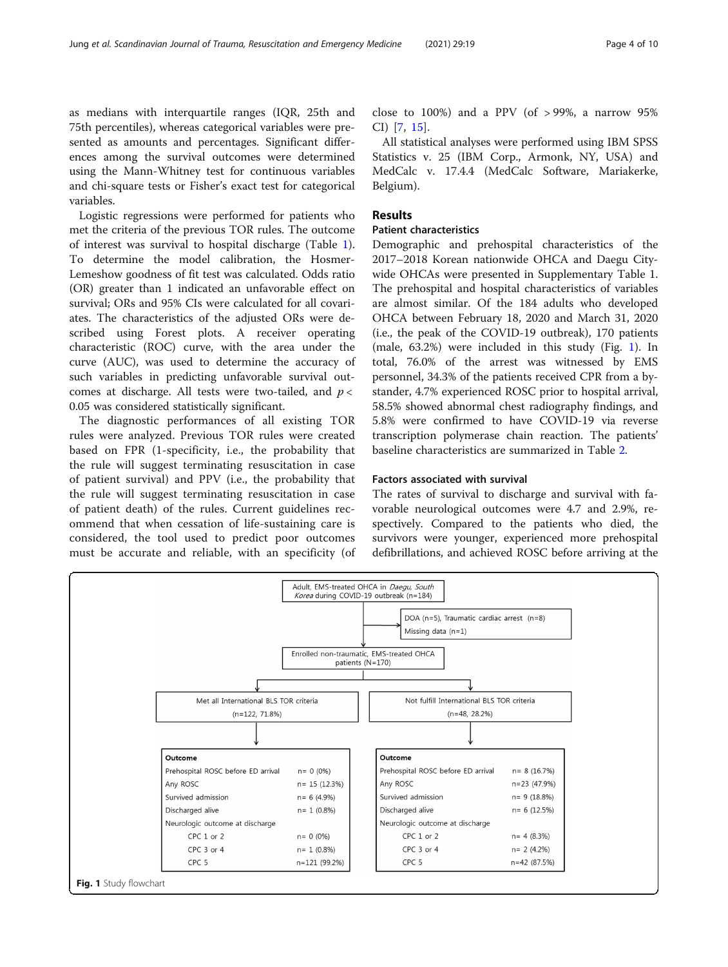<span id="page-3-0"></span>as medians with interquartile ranges (IQR, 25th and 75th percentiles), whereas categorical variables were presented as amounts and percentages. Significant differences among the survival outcomes were determined using the Mann-Whitney test for continuous variables and chi-square tests or Fisher's exact test for categorical variables.

Logistic regressions were performed for patients who met the criteria of the previous TOR rules. The outcome of interest was survival to hospital discharge (Table [1](#page-2-0)). To determine the model calibration, the Hosmer-Lemeshow goodness of fit test was calculated. Odds ratio (OR) greater than 1 indicated an unfavorable effect on survival; ORs and 95% CIs were calculated for all covariates. The characteristics of the adjusted ORs were described using Forest plots. A receiver operating characteristic (ROC) curve, with the area under the curve (AUC), was used to determine the accuracy of such variables in predicting unfavorable survival outcomes at discharge. All tests were two-tailed, and  $p <$ 0.05 was considered statistically significant.

The diagnostic performances of all existing TOR rules were analyzed. Previous TOR rules were created based on FPR (1-specificity, i.e., the probability that the rule will suggest terminating resuscitation in case of patient survival) and PPV (i.e., the probability that the rule will suggest terminating resuscitation in case of patient death) of the rules. Current guidelines recommend that when cessation of life-sustaining care is considered, the tool used to predict poor outcomes must be accurate and reliable, with an specificity (of close to  $100\%$ ) and a PPV (of > 99%, a narrow 95% CI) [\[7](#page-9-0), [15](#page-9-0)].

All statistical analyses were performed using IBM SPSS Statistics v. 25 (IBM Corp., Armonk, NY, USA) and MedCalc v. 17.4.4 (MedCalc Software, Mariakerke, Belgium).

# Results

# Patient characteristics

Demographic and prehospital characteristics of the 2017–2018 Korean nationwide OHCA and Daegu Citywide OHCAs were presented in Supplementary Table 1. The prehospital and hospital characteristics of variables are almost similar. Of the 184 adults who developed OHCA between February 18, 2020 and March 31, 2020 (i.e., the peak of the COVID-19 outbreak), 170 patients (male, 63.2%) were included in this study (Fig. 1). In total, 76.0% of the arrest was witnessed by EMS personnel, 34.3% of the patients received CPR from a bystander, 4.7% experienced ROSC prior to hospital arrival, 58.5% showed abnormal chest radiography findings, and 5.8% were confirmed to have COVID-19 via reverse transcription polymerase chain reaction. The patients' baseline characteristics are summarized in Table [2](#page-4-0).

#### Factors associated with survival

The rates of survival to discharge and survival with favorable neurological outcomes were 4.7 and 2.9%, respectively. Compared to the patients who died, the survivors were younger, experienced more prehospital defibrillations, and achieved ROSC before arriving at the

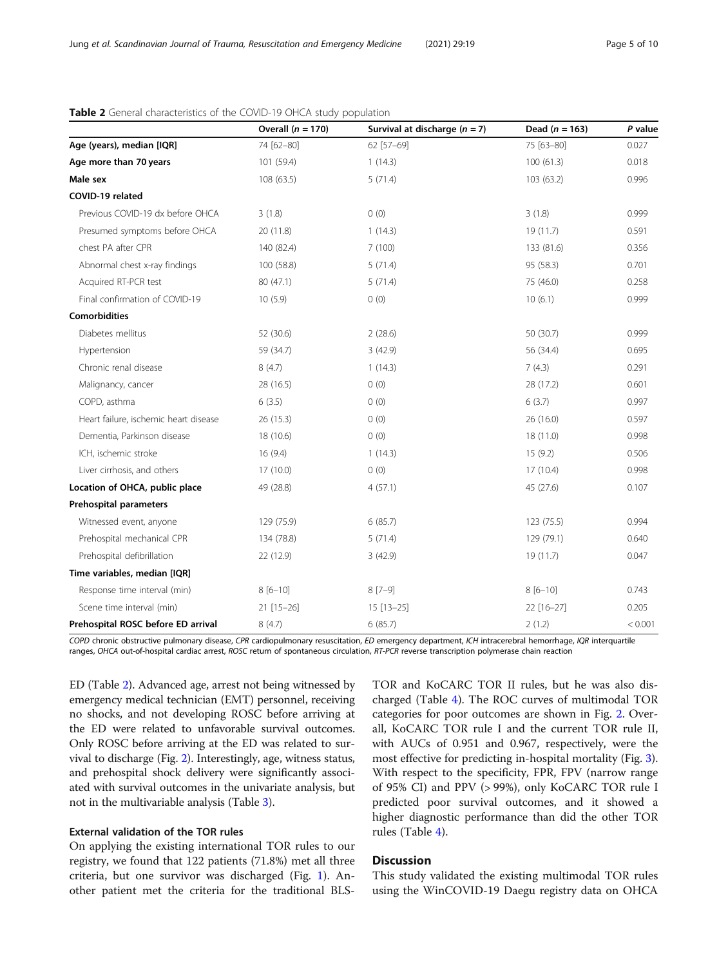|                                       | Overall $(n = 170)$ | Survival at discharge $(n = 7)$ | Dead ( $n = 163$ ) | P value |
|---------------------------------------|---------------------|---------------------------------|--------------------|---------|
| Age (years), median [IQR]             | 74 [62-80]          | 62 [57-69]                      | 75 [63-80]         | 0.027   |
| Age more than 70 years                | 101 (59.4)          | 1(14.3)                         | 100(61.3)          | 0.018   |
| Male sex                              | 108 (63.5)          | 5(71.4)                         | 103 (63.2)         | 0.996   |
| COVID-19 related                      |                     |                                 |                    |         |
| Previous COVID-19 dx before OHCA      | 3(1.8)              | 0(0)                            | 3(1.8)             | 0.999   |
| Presumed symptoms before OHCA         | 20 (11.8)           | 1(14.3)                         | 19 (11.7)          | 0.591   |
| chest PA after CPR                    | 140 (82.4)          | 7(100)                          | 133 (81.6)         | 0.356   |
| Abnormal chest x-ray findings         | 100 (58.8)          | 5(71.4)                         | 95 (58.3)          | 0.701   |
| Acquired RT-PCR test                  | 80 (47.1)           | 5(71.4)                         | 75 (46.0)          | 0.258   |
| Final confirmation of COVID-19        | 10(5.9)             | 0(0)                            | 10(6.1)            | 0.999   |
| <b>Comorbidities</b>                  |                     |                                 |                    |         |
| Diabetes mellitus                     | 52 (30.6)           | 2(28.6)                         | 50 (30.7)          | 0.999   |
| Hypertension                          | 59 (34.7)           | 3(42.9)                         | 56 (34.4)          | 0.695   |
| Chronic renal disease                 | 8(4.7)              | 1(14.3)                         | 7(4.3)             | 0.291   |
| Malignancy, cancer                    | 28 (16.5)           | 0(0)                            | 28 (17.2)          | 0.601   |
| COPD, asthma                          | 6(3.5)              | 0(0)                            | 6(3.7)             | 0.997   |
| Heart failure, ischemic heart disease | 26(15.3)            | 0(0)                            | 26 (16.0)          | 0.597   |
| Dementia, Parkinson disease           | 18 (10.6)           | 0(0)                            | 18 (11.0)          | 0.998   |
| ICH, ischemic stroke                  | 16(9.4)             | 1(14.3)                         | 15(9.2)            | 0.506   |
| Liver cirrhosis, and others           | 17(10.0)            | 0(0)                            | 17(10.4)           | 0.998   |
| Location of OHCA, public place        | 49 (28.8)           | 4(57.1)                         | 45 (27.6)          | 0.107   |
| Prehospital parameters                |                     |                                 |                    |         |
| Witnessed event, anyone               | 129 (75.9)          | 6(85.7)                         | 123(75.5)          | 0.994   |
| Prehospital mechanical CPR            | 134 (78.8)          | 5(71.4)                         | 129 (79.1)         | 0.640   |
| Prehospital defibrillation            | 22 (12.9)           | 3(42.9)                         | 19 (11.7)          | 0.047   |
| Time variables, median [IQR]          |                     |                                 |                    |         |
| Response time interval (min)          | $8[6-10]$           | $8[7-9]$                        | $8[6 - 10]$        | 0.743   |
| Scene time interval (min)             | $21$ [15-26]        | $15$ [13-25]                    | 22 [16-27]         | 0.205   |
| Prehospital ROSC before ED arrival    | 8(4.7)              | 6(85.7)                         | 2(1.2)             | < 0.001 |

# <span id="page-4-0"></span>Table 2 General characteristics of the COVID-19 OHCA study population

COPD chronic obstructive pulmonary disease, CPR cardiopulmonary resuscitation, ED emergency department, ICH intracerebral hemorrhage, IQR interquartile ranges, OHCA out-of-hospital cardiac arrest, ROSC return of spontaneous circulation, RT-PCR reverse transcription polymerase chain reaction

ED (Table 2). Advanced age, arrest not being witnessed by emergency medical technician (EMT) personnel, receiving no shocks, and not developing ROSC before arriving at the ED were related to unfavorable survival outcomes. Only ROSC before arriving at the ED was related to survival to discharge (Fig. [2](#page-5-0)). Interestingly, age, witness status, and prehospital shock delivery were significantly associated with survival outcomes in the univariate analysis, but not in the multivariable analysis (Table [3\)](#page-5-0).

# External validation of the TOR rules

On applying the existing international TOR rules to our registry, we found that 122 patients (71.8%) met all three criteria, but one survivor was discharged (Fig. [1](#page-3-0)). Another patient met the criteria for the traditional BLS- TOR and KoCARC TOR II rules, but he was also discharged (Table [4\)](#page-6-0). The ROC curves of multimodal TOR categories for poor outcomes are shown in Fig. [2](#page-5-0). Overall, KoCARC TOR rule I and the current TOR rule II, with AUCs of 0.951 and 0.967, respectively, were the most effective for predicting in-hospital mortality (Fig. [3](#page-6-0)). With respect to the specificity, FPR, FPV (narrow range of 95% CI) and PPV (> 99%), only KoCARC TOR rule I predicted poor survival outcomes, and it showed a higher diagnostic performance than did the other TOR rules (Table [4](#page-6-0)).

# **Discussion**

This study validated the existing multimodal TOR rules using the WinCOVID-19 Daegu registry data on OHCA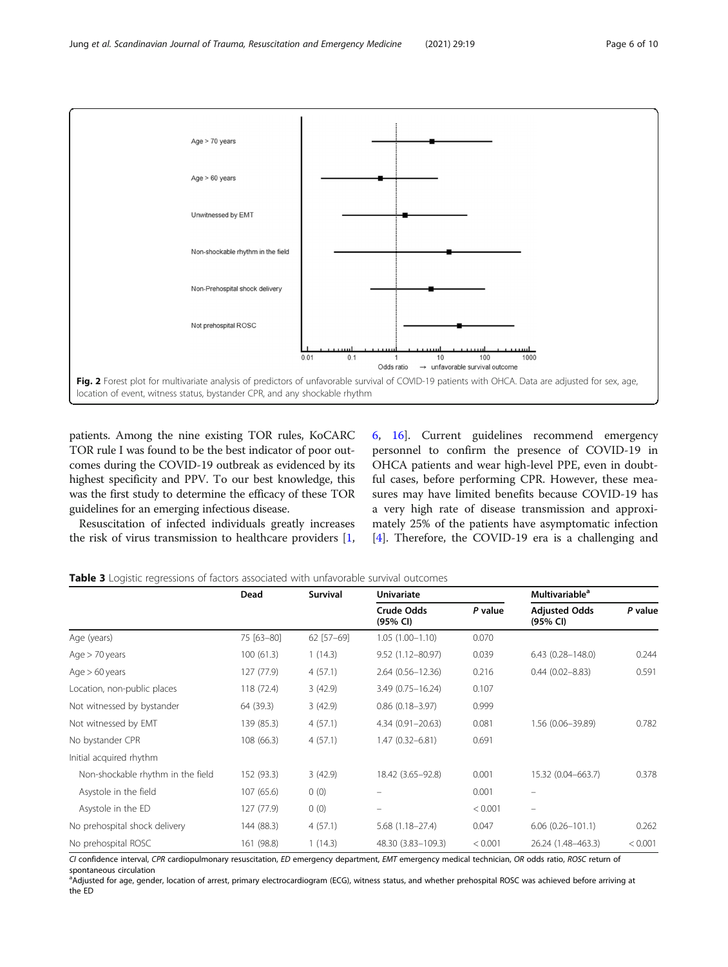<span id="page-5-0"></span>

patients. Among the nine existing TOR rules, KoCARC TOR rule I was found to be the best indicator of poor outcomes during the COVID-19 outbreak as evidenced by its highest specificity and PPV. To our best knowledge, this was the first study to determine the efficacy of these TOR guidelines for an emerging infectious disease.

Resuscitation of infected individuals greatly increases the risk of virus transmission to healthcare providers [\[1](#page-8-0),

[6,](#page-8-0) [16\]](#page-9-0). Current guidelines recommend emergency personnel to confirm the presence of COVID-19 in OHCA patients and wear high-level PPE, even in doubtful cases, before performing CPR. However, these measures may have limited benefits because COVID-19 has a very high rate of disease transmission and approximately 25% of the patients have asymptomatic infection [[4\]](#page-8-0). Therefore, the COVID-19 era is a challenging and



|                                   | Dead       | Survival   | Univariate             |         | <b>Multivariable<sup>a</sup></b> |         |
|-----------------------------------|------------|------------|------------------------|---------|----------------------------------|---------|
|                                   |            |            | Crude Odds<br>(95% CI) | P value | <b>Adjusted Odds</b><br>(95% CI) | P value |
| Age (years)                       | 75 [63-80] | 62 [57-69] | $1.05(1.00 - 1.10)$    | 0.070   |                                  |         |
| Age $>$ 70 years                  | 100(61.3)  | 1(14.3)    | 9.52 (1.12-80.97)      | 0.039   | $6.43(0.28 - 148.0)$             | 0.244   |
| Age $> 60$ years                  | 127 (77.9) | 4(57.1)    | $2.64(0.56 - 12.36)$   | 0.216   | $0.44(0.02 - 8.83)$              | 0.591   |
| Location, non-public places       | 118 (72.4) | 3(42.9)    | 3.49 (0.75-16.24)      | 0.107   |                                  |         |
| Not witnessed by bystander        | 64 (39.3)  | 3(42.9)    | $0.86$ $(0.18 - 3.97)$ | 0.999   |                                  |         |
| Not witnessed by EMT              | 139 (85.3) | 4(57.1)    | 4.34 (0.91-20.63)      | 0.081   | 1.56 (0.06-39.89)                | 0.782   |
| No bystander CPR                  | 108 (66.3) | 4(57.1)    | $1.47(0.32 - 6.81)$    | 0.691   |                                  |         |
| Initial acquired rhythm           |            |            |                        |         |                                  |         |
| Non-shockable rhythm in the field | 152 (93.3) | 3(42.9)    | 18.42 (3.65-92.8)      | 0.001   | 15.32 (0.04-663.7)               | 0.378   |
| Asystole in the field             | 107 (65.6) | 0(0)       |                        | 0.001   |                                  |         |
| Asystole in the ED                | 127 (77.9) | 0(0)       | -                      | < 0.001 | $\qquad \qquad =$                |         |
| No prehospital shock delivery     | 144 (88.3) | 4(57.1)    | $5.68(1.18 - 27.4)$    | 0.047   | $6.06(0.26 - 101.1)$             | 0.262   |
| No prehospital ROSC               | 161 (98.8) | 1(14.3)    | 48.30 (3.83-109.3)     | < 0.001 | 26.24 (1.48-463.3)               | < 0.001 |

CI confidence interval, CPR cardiopulmonary resuscitation, ED emergency department, EMT emergency medical technician, OR odds ratio, ROSC return of spontaneous circulation

<sup>a</sup>Adjusted for age, gender, location of arrest, primary electrocardiogram (ECG), witness status, and whether prehospital ROSC was achieved before arriving at the ED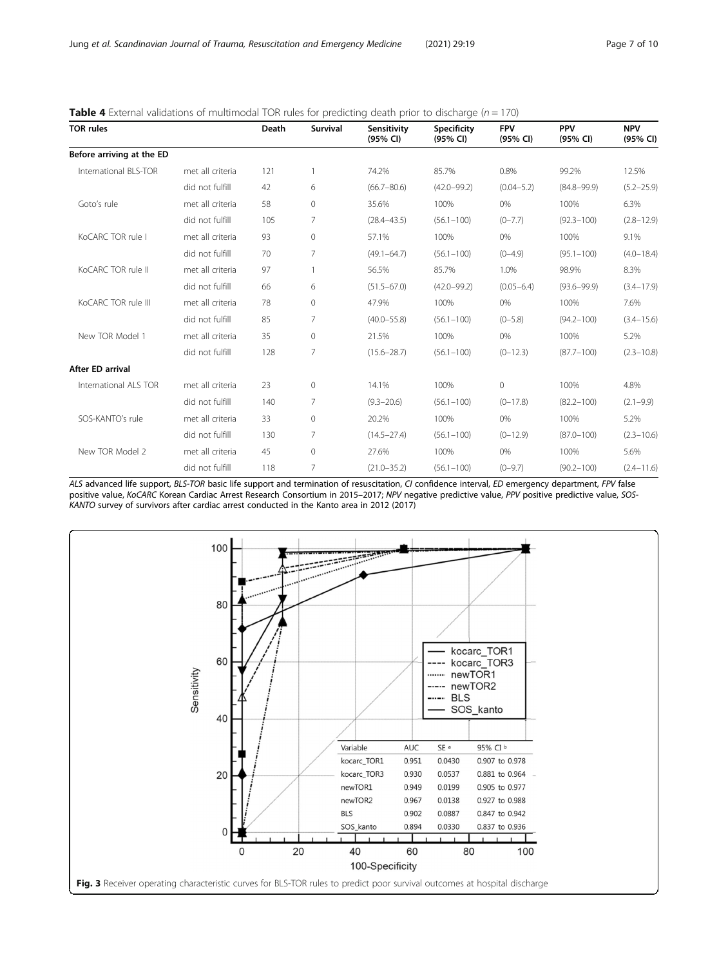| <b>TOR rules</b>          |                  | Death | <b>Survival</b> | Sensitivity<br>(95% CI) | <b>Specificity</b><br>(95% CI) | <b>FPV</b><br>(95% CI) | <b>PPV</b><br>(95% CI) | <b>NPV</b><br>(95% CI) |
|---------------------------|------------------|-------|-----------------|-------------------------|--------------------------------|------------------------|------------------------|------------------------|
| Before arriving at the ED |                  |       |                 |                         |                                |                        |                        |                        |
| International BLS-TOR     | met all criteria | 121   |                 | 74.2%                   | 85.7%                          | 0.8%                   | 99.2%                  | 12.5%                  |
|                           | did not fulfill  | 42    | 6               | $(66.7 - 80.6)$         | $(42.0 - 99.2)$                | $(0.04 - 5.2)$         | $(84.8 - 99.9)$        | $(5.2 - 25.9)$         |
| Goto's rule               | met all criteria | 58    | $\circ$         | 35.6%                   | 100%                           | 0%                     | 100%                   | 6.3%                   |
|                           | did not fulfill  | 105   | 7               | $(28.4 - 43.5)$         | $(56.1 - 100)$                 | $(0 - 7.7)$            | $(92.3 - 100)$         | $(2.8 - 12.9)$         |
| KoCARC TOR rule I         | met all criteria | 93    | $\mathbf{0}$    | 57.1%                   | 100%                           | 0%                     | 100%                   | 9.1%                   |
|                           | did not fulfill  | 70    | 7               | $(49.1 - 64.7)$         | $(56.1 - 100)$                 | $(0-4.9)$              | $(95.1 - 100)$         | $(4.0 - 18.4)$         |
| KoCARC TOR rule II        | met all criteria | 97    |                 | 56.5%                   | 85.7%                          | 1.0%                   | 98.9%                  | 8.3%                   |
|                           | did not fulfill  | 66    | 6               | $(51.5 - 67.0)$         | $(42.0 - 99.2)$                | $(0.05 - 6.4)$         | $(93.6 - 99.9)$        | $(3.4 - 17.9)$         |
| KoCARC TOR rule III       | met all criteria | 78    | $\circ$         | 47.9%                   | 100%                           | 0%                     | 100%                   | 7.6%                   |
|                           | did not fulfill  | 85    | 7               | $(40.0 - 55.8)$         | $(56.1 - 100)$                 | $(0 - 5.8)$            | $(94.2 - 100)$         | $(3.4 - 15.6)$         |
| New TOR Model 1           | met all criteria | 35    | $\mathbf{0}$    | 21.5%                   | 100%                           | 0%                     | 100%                   | 5.2%                   |
|                           | did not fulfill  | 128   | 7               | $(15.6 - 28.7)$         | $(56.1 - 100)$                 | $(0-12.3)$             | $(87.7 - 100)$         | $(2.3 - 10.8)$         |
| After ED arrival          |                  |       |                 |                         |                                |                        |                        |                        |
| International ALS TOR     | met all criteria | 23    | $\Omega$        | 14.1%                   | 100%                           | $\Omega$               | 100%                   | 4.8%                   |
|                           | did not fulfill  | 140   | 7               | $(9.3 - 20.6)$          | $(56.1 - 100)$                 | $(0-17.8)$             | $(82.2 - 100)$         | $(2.1 - 9.9)$          |
| SOS-KANTO's rule          | met all criteria | 33    | $\Omega$        | 20.2%                   | 100%                           | 0%                     | 100%                   | 5.2%                   |
|                           | did not fulfill  | 130   | $\overline{7}$  | $(14.5 - 27.4)$         | $(56.1 - 100)$                 | $(0-12.9)$             | $(87.0 - 100)$         | $(2.3 - 10.6)$         |
| New TOR Model 2           | met all criteria | 45    | $\circ$         | 27.6%                   | 100%                           | 0%                     | 100%                   | 5.6%                   |
|                           | did not fulfill  | 118   | 7               | $(21.0 - 35.2)$         | $(56.1 - 100)$                 | $(0-9.7)$              | $(90.2 - 100)$         | $(2.4 - 11.6)$         |

<span id="page-6-0"></span>

| <b>Table 4</b> External validations of multimodal TOR rules for predicting death prior to discharge ( $n = 170$ ) |  |  |
|-------------------------------------------------------------------------------------------------------------------|--|--|
|                                                                                                                   |  |  |

ALS advanced life support, BLS-TOR basic life support and termination of resuscitation, CI confidence interval, ED emergency department, FPV false positive value, KoCARC Korean Cardiac Arrest Research Consortium in 2015–2017; NPV negative predictive value, PPV positive predictive value, SOS-KANTO survey of survivors after cardiac arrest conducted in the Kanto area in 2012 (2017)

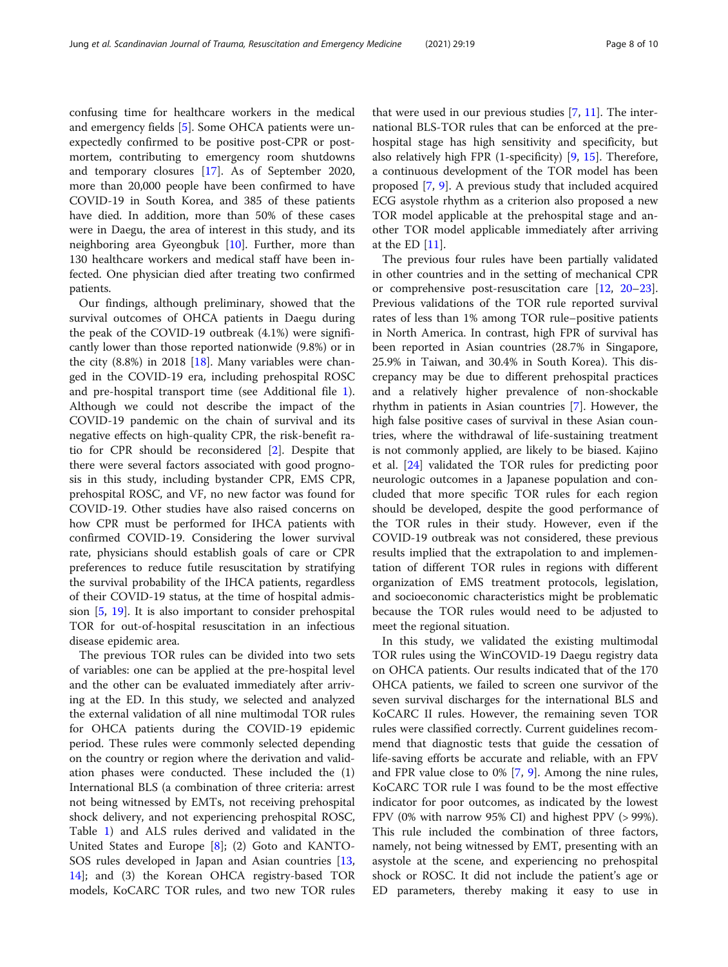confusing time for healthcare workers in the medical and emergency fields [[5\]](#page-8-0). Some OHCA patients were unexpectedly confirmed to be positive post-CPR or postmortem, contributing to emergency room shutdowns and temporary closures [[17\]](#page-9-0). As of September 2020, more than 20,000 people have been confirmed to have COVID-19 in South Korea, and 385 of these patients have died. In addition, more than 50% of these cases were in Daegu, the area of interest in this study, and its neighboring area Gyeongbuk [[10](#page-9-0)]. Further, more than 130 healthcare workers and medical staff have been infected. One physician died after treating two confirmed patients.

Our findings, although preliminary, showed that the survival outcomes of OHCA patients in Daegu during the peak of the COVID-19 outbreak (4.1%) were significantly lower than those reported nationwide (9.8%) or in the city  $(8.8\%)$  in 2018 [\[18\]](#page-9-0). Many variables were changed in the COVID-19 era, including prehospital ROSC and pre-hospital transport time (see Additional file [1](#page-8-0)). Although we could not describe the impact of the COVID-19 pandemic on the chain of survival and its negative effects on high-quality CPR, the risk-benefit ratio for CPR should be reconsidered [[2\]](#page-8-0). Despite that there were several factors associated with good prognosis in this study, including bystander CPR, EMS CPR, prehospital ROSC, and VF, no new factor was found for COVID-19. Other studies have also raised concerns on how CPR must be performed for IHCA patients with confirmed COVID-19. Considering the lower survival rate, physicians should establish goals of care or CPR preferences to reduce futile resuscitation by stratifying the survival probability of the IHCA patients, regardless of their COVID-19 status, at the time of hospital admission [[5](#page-8-0), [19](#page-9-0)]. It is also important to consider prehospital TOR for out-of-hospital resuscitation in an infectious disease epidemic area.

The previous TOR rules can be divided into two sets of variables: one can be applied at the pre-hospital level and the other can be evaluated immediately after arriving at the ED. In this study, we selected and analyzed the external validation of all nine multimodal TOR rules for OHCA patients during the COVID-19 epidemic period. These rules were commonly selected depending on the country or region where the derivation and validation phases were conducted. These included the (1) International BLS (a combination of three criteria: arrest not being witnessed by EMTs, not receiving prehospital shock delivery, and not experiencing prehospital ROSC, Table [1\)](#page-2-0) and ALS rules derived and validated in the United States and Europe [\[8](#page-9-0)]; (2) Goto and KANTO-SOS rules developed in Japan and Asian countries [[13](#page-9-0), [14\]](#page-9-0); and (3) the Korean OHCA registry-based TOR models, KoCARC TOR rules, and two new TOR rules

that were used in our previous studies [\[7](#page-9-0), [11](#page-9-0)]. The international BLS-TOR rules that can be enforced at the prehospital stage has high sensitivity and specificity, but also relatively high FPR (1-specificity) [\[9,](#page-9-0) [15](#page-9-0)]. Therefore, a continuous development of the TOR model has been proposed [[7,](#page-9-0) [9](#page-9-0)]. A previous study that included acquired ECG asystole rhythm as a criterion also proposed a new TOR model applicable at the prehospital stage and another TOR model applicable immediately after arriving at the ED [[11\]](#page-9-0).

The previous four rules have been partially validated in other countries and in the setting of mechanical CPR or comprehensive post-resuscitation care [\[12,](#page-9-0) [20](#page-9-0)–[23](#page-9-0)]. Previous validations of the TOR rule reported survival rates of less than 1% among TOR rule–positive patients in North America. In contrast, high FPR of survival has been reported in Asian countries (28.7% in Singapore, 25.9% in Taiwan, and 30.4% in South Korea). This discrepancy may be due to different prehospital practices and a relatively higher prevalence of non-shockable rhythm in patients in Asian countries [\[7](#page-9-0)]. However, the high false positive cases of survival in these Asian countries, where the withdrawal of life-sustaining treatment is not commonly applied, are likely to be biased. Kajino et al. [\[24](#page-9-0)] validated the TOR rules for predicting poor neurologic outcomes in a Japanese population and concluded that more specific TOR rules for each region should be developed, despite the good performance of the TOR rules in their study. However, even if the COVID-19 outbreak was not considered, these previous results implied that the extrapolation to and implementation of different TOR rules in regions with different organization of EMS treatment protocols, legislation, and socioeconomic characteristics might be problematic because the TOR rules would need to be adjusted to meet the regional situation.

In this study, we validated the existing multimodal TOR rules using the WinCOVID-19 Daegu registry data on OHCA patients. Our results indicated that of the 170 OHCA patients, we failed to screen one survivor of the seven survival discharges for the international BLS and KoCARC II rules. However, the remaining seven TOR rules were classified correctly. Current guidelines recommend that diagnostic tests that guide the cessation of life-saving efforts be accurate and reliable, with an FPV and FPR value close to 0% [\[7](#page-9-0), [9\]](#page-9-0). Among the nine rules, KoCARC TOR rule I was found to be the most effective indicator for poor outcomes, as indicated by the lowest FPV (0% with narrow 95% CI) and highest PPV (> 99%). This rule included the combination of three factors, namely, not being witnessed by EMT, presenting with an asystole at the scene, and experiencing no prehospital shock or ROSC. It did not include the patient's age or ED parameters, thereby making it easy to use in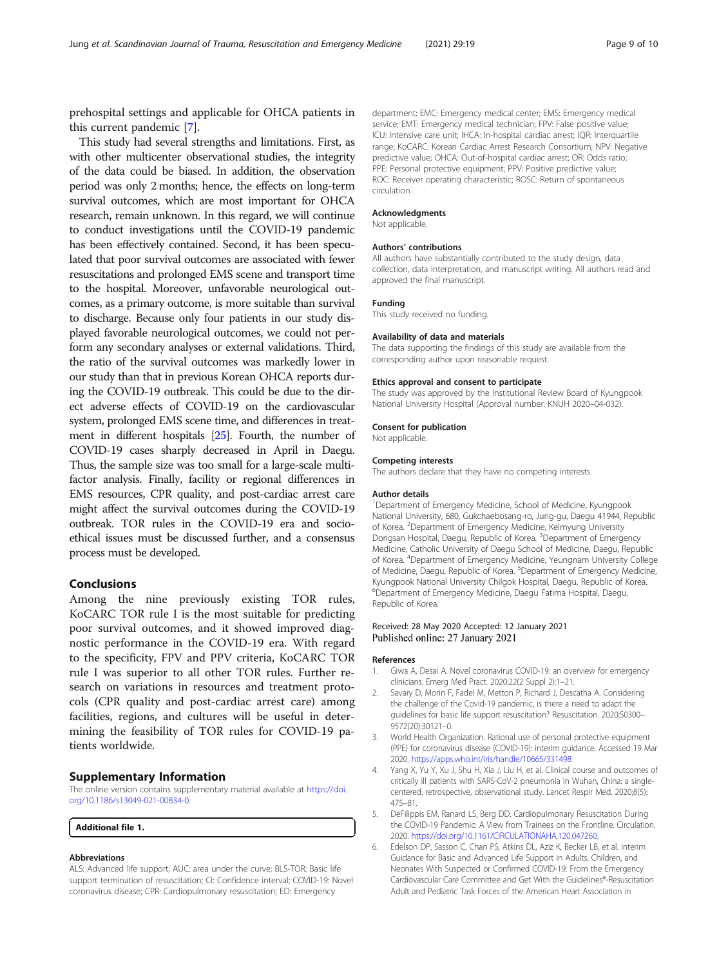<span id="page-8-0"></span>this current pandemic [\[7](#page-9-0)]. This study had several strengths and limitations. First, as with other multicenter observational studies, the integrity of the data could be biased. In addition, the observation period was only 2 months; hence, the effects on long-term survival outcomes, which are most important for OHCA research, remain unknown. In this regard, we will continue to conduct investigations until the COVID-19 pandemic has been effectively contained. Second, it has been speculated that poor survival outcomes are associated with fewer resuscitations and prolonged EMS scene and transport time to the hospital. Moreover, unfavorable neurological outcomes, as a primary outcome, is more suitable than survival to discharge. Because only four patients in our study displayed favorable neurological outcomes, we could not perform any secondary analyses or external validations. Third, the ratio of the survival outcomes was markedly lower in our study than that in previous Korean OHCA reports during the COVID-19 outbreak. This could be due to the direct adverse effects of COVID-19 on the cardiovascular system, prolonged EMS scene time, and differences in treatment in different hospitals [[25](#page-9-0)]. Fourth, the number of COVID-19 cases sharply decreased in April in Daegu. Thus, the sample size was too small for a large-scale multifactor analysis. Finally, facility or regional differences in EMS resources, CPR quality, and post-cardiac arrest care might affect the survival outcomes during the COVID-19 outbreak. TOR rules in the COVID-19 era and socioethical issues must be discussed further, and a consensus process must be developed.

# Conclusions

Among the nine previously existing TOR rules, KoCARC TOR rule I is the most suitable for predicting poor survival outcomes, and it showed improved diagnostic performance in the COVID-19 era. With regard to the specificity, FPV and PPV criteria, KoCARC TOR rule I was superior to all other TOR rules. Further research on variations in resources and treatment protocols (CPR quality and post-cardiac arrest care) among facilities, regions, and cultures will be useful in determining the feasibility of TOR rules for COVID-19 patients worldwide.

#### Supplementary Information

The online version contains supplementary material available at [https://doi.](https://doi.org/10.1186/s13049-021-00834-0) [org/10.1186/s13049-021-00834-0.](https://doi.org/10.1186/s13049-021-00834-0)

Additional file 1.

#### Abbreviations

ALS: Advanced life support; AUC: area under the curve; BLS-TOR: Basic life support termination of resuscitation; CI: Confidence interval; COVID-19: Novel coronavirus disease; CPR: Cardiopulmonary resuscitation; ED: Emergency

department; EMC: Emergency medical center; EMS: Emergency medical service; EMT: Emergency medical technician; FPV: False positive value; ICU: Intensive care unit; IHCA: In-hospital cardiac arrest; IQR: Interquartile range; KoCARC: Korean Cardiac Arrest Research Consortium; NPV: Negative predictive value; OHCA: Out-of-hospital cardiac arrest; OR: Odds ratio; PPE: Personal protective equipment; PPV: Positive predictive value; ROC: Receiver operating characteristic; ROSC: Return of spontaneous circulation

#### Acknowledgments

Not applicable.

#### Authors' contributions

All authors have substantially contributed to the study design, data collection, data interpretation, and manuscript writing. All authors read and approved the final manuscript.

#### Funding

This study received no funding.

#### Availability of data and materials

The data supporting the findings of this study are available from the corresponding author upon reasonable request.

#### Ethics approval and consent to participate

The study was approved by the Institutional Review Board of Kyungpook National University Hospital (Approval number: KNUH 2020–04-032).

#### Consent for publication

Not applicable.

#### Competing interests

The authors declare that they have no competing interests.

#### Author details

<sup>1</sup>Department of Emergency Medicine, School of Medicine, Kyungpook National University, 680, Gukchaebosang-ro, Jung-gu, Daegu 41944, Republic of Korea. <sup>2</sup>Department of Emergency Medicine, Keimyung University Dongsan Hospital, Daegu, Republic of Korea. <sup>3</sup>Department of Emergency Medicine, Catholic University of Daegu School of Medicine, Daegu, Republic of Korea. <sup>4</sup> Department of Emergency Medicine, Yeungnam University College of Medicine, Daegu, Republic of Korea. <sup>5</sup>Department of Emergency Medicine Kyungpook National University Chilgok Hospital, Daegu, Republic of Korea. 6 Department of Emergency Medicine, Daegu Fatima Hospital, Daegu, Republic of Korea.

#### Received: 28 May 2020 Accepted: 12 January 2021 Published online: 27 January 2021

#### References

- 1. Giwa A, Desai A. Novel coronavirus COVID-19: an overview for emergency clinicians. Emerg Med Pract. 2020;22(2 Suppl 2):1–21.
- 2. Savary D, Morin F, Fadel M, Metton P, Richard J, Descatha A. Considering the challenge of the Covid-19 pandemic, is there a need to adapt the guidelines for basic life support resuscitation? Resuscitation. 2020;S0300– 9572(20):30121–0.
- 3. World Health Organization. Rational use of personal protective equipment (PPE) for coronavirus disease (COVID-19): interim guidance. Accessed 19 Mar 2020. <https://apps.who.int/iris/handle/10665/331498>
- 4. Yang X, Yu Y, Xu J, Shu H, Xia J, Liu H, et al. Clinical course and outcomes of critically ill patients with SARS-CoV-2 pneumonia in Wuhan, China: a singlecentered, retrospective, observational study. Lancet Respir Med. 2020;8(5): 475–81.
- 5. DeFilippis EM, Ranard LS, Berg DD. Cardiopulmonary Resuscitation During the COVID-19 Pandemic: A View from Trainees on the Frontline. Circulation. 2020. [https://doi.org/10.1161/CIRCULATIONAHA.120.047260.](https://doi.org/10.1161/CIRCULATIONAHA.120.047260)
- 6. Edelson DP, Sasson C, Chan PS, Atkins DL, Aziz K, Becker LB, et al. Interim Guidance for Basic and Advanced Life Support in Adults, Children, and Neonates With Suspected or Confirmed COVID-19: From the Emergency Cardiovascular Care Committee and Get With the Guidelines®-Resuscitation Adult and Pediatric Task Forces of the American Heart Association in